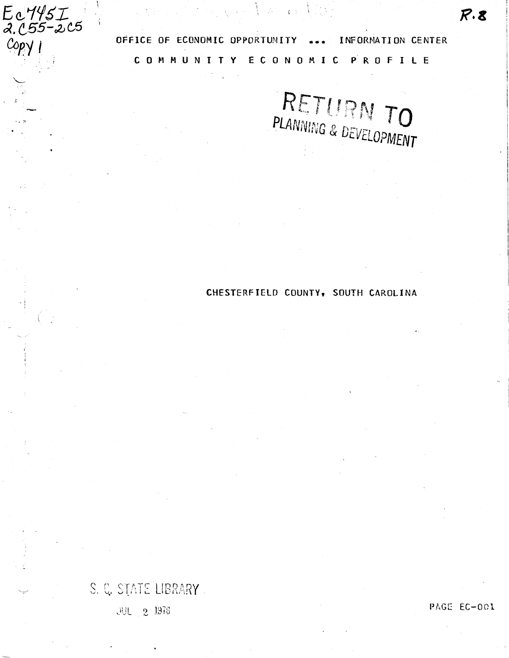OFFICE OF ECONOMIC OPPORTUNITY ... INFORMATION CENTER C 0 M M U N I T Y E C 0 N 0 M I C P R 0 F I l E

 $\mathcal{L} = \sum_{i=1}^n \mathcal{L}_i \mathcal{L}_i$ 

RETURN TO

# CHESTERFIELD COUNTY, SOUTH CAROLINA

# S. C. STATE LIBRARY.

 $E_0$ 145 $I_{\alpha}$ . (55–205

 $Copy$ 

**JUL** 2 1976

PAGE EC-001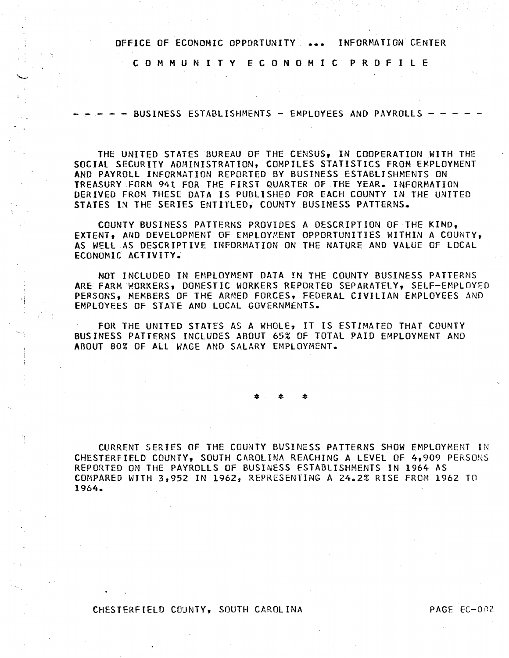C 0 M M U N I T Y E C 0 N 0 M I C P R 0 F I L E

 $-$  BUSINESS ESTABLISHMENTS  $-$  EMPLOYEES AND PAYROLLS  $\cdot$ 

THE UNITED STATES BUREAU OF THE CENSUS, IN COOPERATION WITH THE SOCIAL SECURITY ADMINISTRATION, COMPILES STATISTICS FROM EMPLOYMENT AND PAYROLL INFORMATION REPORTED BY BUSINESS ESTABLISHMENTS ON TREASURY FORM 941 FOR THE FIRST QUARTER OF THE YEAR. INFORMATION DERIVED FROM THESE DATA IS PUBLISHED FOR EACH COUNTY IN THE UNITED STATES IN THE SERIES ENTITLED, COUNTY BUSINESS PATTERNS.

COUNTY BUSINESS PATTERNS PROVIDES A DESCRIPTION OF THE KIND, EXTENT, AND DEVELOPHENT OF EMPLOYMENT OPPORTUNITIES WITHIN A COUNTY, AS WELL AS DESCRIPTIVE INFORMATION ON THE NATURE AND VALUE OF LOCAL ECONOMIC ACTIVITY.

NOT INCLUDED IN EMPLOYMENT DATA IN THE COUNTY BUSINESS PATTERNS ARE FARM WORKERS, DOMESTIC WORKERS REPORTED SEPARATELY, SELF-EMPLOYED PERSONS, MEMBERS OF THE ARMED FORCES, FEDERAL CIVILIAN EMPLOYEES AND EMPLOYEES OF STATE AND LOCAL GOVERNMENTS.

FOR THE UNITED STATES AS A WHOLE, IT IS ESTIMATED THAT COUNTY BUSINESS PATTERNS INCLUDES ABOUT 65% OF TOTAL PAID EMPLOYMENT AND ABOUT 80% OF All WAGE AND SALARY EMPLOYMENT.

\* \*

CURRENT SERIES OF THE COUNTY BUSINESS PATTERNS SHOW EMPLOYMENT IN CHESTERFIELD COUNTY, SOUTH CAROliNA REACHING A LEVEL OF 4,909 PERSONS REPORTED ON THE PAYROLLS OF BUSINESS ESTABLISHMENTS IN 1964 AS COMPARED WITH 3,952 IN 1962, REPRESENTING A 24.2% RISE FROM 1962 TO 1964.

CHESTERFIELD COUNTY, SOUTH CAROLINA PAGE EC-002

.I !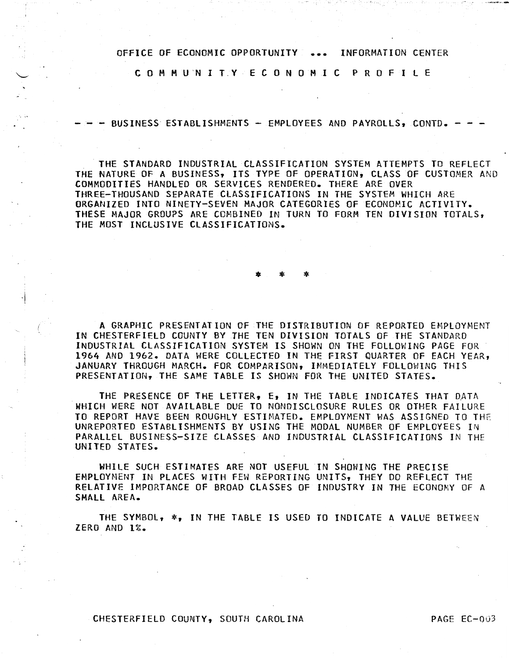C 0 M M U'N I T,Y E C 0 N 0 M I C P R 0 FILE

 $-$  - BUSINESS ESTABLISHMENTS - EMPLOYEES AND PAYROLLS, CONTD. -

THE STANDARD INDUSTRIAL CLASSIFICATION SYSTEM ATTEMPTS TO REFLECT THE NATURE OF A BUSINESS, ITS TYPE OF OPERATION, CLASS OF CUSTOMER AND COMMODITIES HANDLED OR SERVICES RENDERED. THERE ARE OVER THREE-THOUSAND SEPARATE CLASSIFICATIONS IN THE SYSTEM WHICH ARE ORGANIZED INTO NINETY-SEVEN MAJOR CATEGORIES OF ECONOMIC ACTIVITY. THESE MAJOR GROU?S ARE COMBINED IN TURN TO FORM TEN DIVISION TOTALS, THE MOST INCLUSIVE CLASSIFICATIONS.

\* \* \*

A GRAPHIC PRESENTATION OF THE DISTRIBUTION OF REPORTED EMPLOYMENT IN CHESTERFIELD COUNTY BY THE TEN DIVISION TOTALS OF THE STANDARD INDUSTRIAL CLASSIFICATION SYSTEM IS SHOWN ON THE FOLLOWING PAGE FOR 1964 AND 1962. DATA WERE COLLECTED IN THE FIRST QUARTER OF EACH YEAR, JANUARY THROUGH MARCH. FOR COMPARISON, IMMEDIATELY FOLLOWING THIS PRESENTATION, THE SAME TABLE IS SHOWN FOR THE UNITED STATES.

THE PRESENCE OF THE LETTER, E, IN THE TABLE INDICATES THAT DATA WHICH WERE NOT AVAILABLE DUE TO NONDISCLOSURE RULES OR OTHER FAILURE TO REPORT HAVE BEEN ROUGHLY ESTIMATED. EMPLOYMENT WAS ASSIGNED TO THE UNREPORTED ESTABLISHMENTS BY USING THE MODAL NUMBER OF EMPLOYEES IN PARALLEL BUSINESS-SIZE CLASSES AND INDUSTRIAL CLASSIFICATIONS IN THE UNITED STATES.

WHILE SUCH ESTIMATES ARE NOT USEFUL IN SHOWING THE PRECISE EMPLOYMENT IN PLACES WITH FEW REPORTING UNITS, THEY DO REFLECT THE RELATIVE IMPORTANCE OF BROAD CLASSES OF INDUSTRY IN THE ECONOMY OF A SMALL AREA.

THE SYMBOL,  $*_2$  in the Table is used to indicate a value between ZERO AND 1%.

CHESTERFIELD COUNTY, SOUTH CAROLINA PAGE EC-003

·I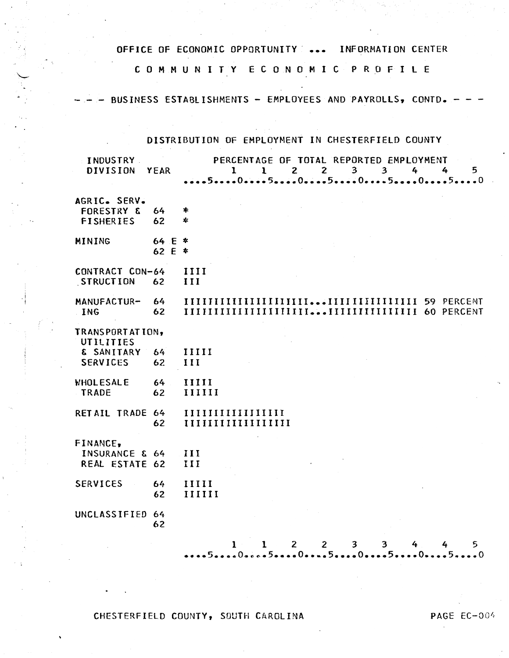C 0 M M U N I T Y E C 0 N 0 M I C P R 0 F I L E

BUSINESS ESTABLISHMENTS - EMPLOYEES AND PAYROLLS, CONTD. -

# DISTRIBUTION OF EMPLOYMENT IN CHESTERFIELD COUNTY

| INDUSTRY.<br><b>DIVISION</b>                                  | YEAR             | PERCENTAGE OF TOTAL REPORTED EMPLOYMENT<br>$\overline{2}$<br>3 <sup>7</sup><br>$\mathbf{I}$<br>$1 \quad 2$<br>3 <sup>7</sup><br>4<br>4<br>5 |
|---------------------------------------------------------------|------------------|---------------------------------------------------------------------------------------------------------------------------------------------|
| AGRIC. SERV.<br><b>FORESTRY &amp;</b><br><b>FISHERIES</b>     | 64<br>62         | *<br>*                                                                                                                                      |
| MINING                                                        | 64 E *<br>62 E * |                                                                                                                                             |
| CONTRACT CON-64<br>STRUCTION                                  | 62               | <b>IIII</b><br>III                                                                                                                          |
| MANUFACTUR-<br>ING                                            | 64<br>62         |                                                                                                                                             |
| TRANSPORTATION,<br>UTILITIES<br>& SANITARY<br><b>SERVICES</b> | 64<br>62         | IIIII<br>III                                                                                                                                |
| WHOLESALE<br>TRADE                                            | 64<br>62         | <b>IIIII</b><br>IIIIII                                                                                                                      |
| RETAIL TRADE 64                                               | 62               | IIIIIIIIIIIIIIIII                                                                                                                           |
| FINANCE,<br>INSURANCE & 64<br>REAL ESTATE 62                  |                  | III<br>III                                                                                                                                  |
| <b>SERVICES</b>                                               | 64<br>62         | 11111<br>IIIIII                                                                                                                             |
| UNCLASSIFIED 64                                               | 62               |                                                                                                                                             |
|                                                               |                  | $\mathcal{P}$<br>$\mathbf{p}$<br>$\mathcal{L}$ $\mathcal{L}$<br>Б.<br>$\mathbf{1}$<br>$\mathbf{L}$<br>2                                     |

1 1 2 2 3 3 4 4 5 **•••• s •••** eo\*~~-s **•••• o •••• s •••• o •••• s •••• o ••••** 5~ **••• o** 

CHESTERFIELD COUNTY, SOUTH CAROLINA PAGE EC-004

. i I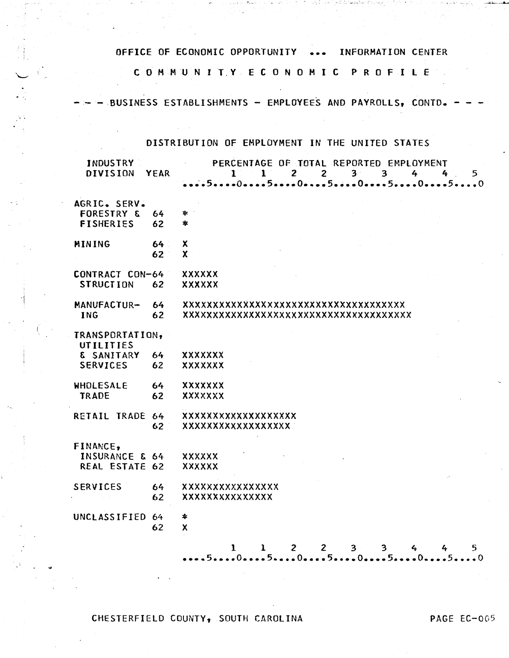## C 0 M M UN I T.Y E C 0 N 0 M I C P R 0 F I L E

- BUSINESS ESTABLISHMENTS - EMPLOYEES AND PAYROLLS, CONTD.-

 $\mathcal{A}^{\mathcal{A}}$  and  $\mathcal{A}^{\mathcal{A}}$ 

## DISTRIBUTION OF EMPLOYMENT IN THE UNITED STATES

| <b>INDUSTRY</b><br><b>DIVISION</b> | <b>YEAR</b> | PERCENTAGE OF TOTAL REPORTED EMPLOYMENT<br>$2^{\sim}$<br>$2^{\sim}$<br>3 <sup>2</sup><br>$\overline{3}$<br>4<br>$\mathbf{1}$<br>$\mathbf{1}$<br>4<br>5 |
|------------------------------------|-------------|--------------------------------------------------------------------------------------------------------------------------------------------------------|
| AGRIC. SERV.                       |             |                                                                                                                                                        |
| <b>FORESTRY &amp;</b>              | 64          | 幸二                                                                                                                                                     |
| <b>FISHERIES</b>                   | 62          | *                                                                                                                                                      |
| MINING                             | 64          | Χ                                                                                                                                                      |
|                                    | 62          | X                                                                                                                                                      |
| CONTRACT CON-64                    |             | <b>XXXXXX</b>                                                                                                                                          |
| <b>STRUCTION</b>                   | 62          | <b>XXXXXX</b>                                                                                                                                          |
| MANUFACTUR-                        | 64          | xxxxxxxxxxxxxxxxxxxxxxxxxxxxxxxxxxx                                                                                                                    |
| <b>ING</b>                         | 62          | xxxxxxxxxxxxxxxxxxxxxxxxxxxxxxxx                                                                                                                       |
| TRANSPORTATION,<br>UTILITIES       |             |                                                                                                                                                        |
| & SANITARY                         | 64          | XXXXXXX                                                                                                                                                |
| <b>SERVICES</b>                    | 62          | <b>XXXXXXX</b>                                                                                                                                         |
| WHOLESALE                          | 64          | <b>XXXXXXX</b>                                                                                                                                         |
| TRADE                              | 62          | XXXXXXX                                                                                                                                                |
| RETAIL TRADE 64                    |             | xxxxxxxxxxxxxxxxxx                                                                                                                                     |
|                                    | 62          | xxxxxxxxxxxxxxxxx                                                                                                                                      |
| FINANCE,                           |             |                                                                                                                                                        |
| <b>INSURANCE &amp; 64</b>          |             | <b>XXXXXX</b>                                                                                                                                          |
| REAL ESTATE 62                     |             | <b>XXXXXX</b>                                                                                                                                          |
| <b>SERVICES</b>                    | 64          | xxxxxxxxxxxxxxx                                                                                                                                        |
|                                    | 62          | <b>XXXXXXXXXXXXXX</b>                                                                                                                                  |
| UNCLASSIFIED 64                    |             | *                                                                                                                                                      |
|                                    | 62          | X                                                                                                                                                      |
|                                    |             | $\mathbf{2}$<br>$\mathbf{2}$<br>5.<br>$\mathbf{1}$<br>$3 -$<br>3<br>$4 -$<br>1                                                                         |
|                                    |             | 50505055050                                                                                                                                            |

·j

 $\begin{bmatrix} 1 & 1 \\ 1 & 1 \\ 1 & 1 \end{bmatrix}$ 

β¥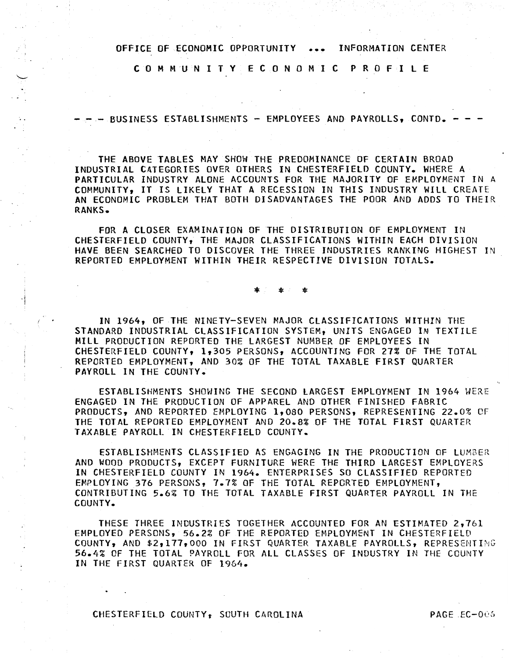C 0 M M U N I T Y E C 0 N 0 M I C P R 0 F I L E

-- BUSINESS ESTABLISHMENTS - EMPLOYEES AND PAYROLLS, CONTD.

THE ABOVE TABLES MAY SHOW THE PREDOMINANCE OF CERTAIN BROAD INDUSTRIAL CATEGORIES OVER OTHERS IN CHESTERFIElD COUNTY. WHERE A PARTICULAR INDUSTRY ALONE ACCOUNTS FOR THE MAJORITY OF EMPLOYMENT IN A COMMUNITY, IT IS LIKELY THAT A RECESSION IN THIS INDUSTRY Will CREATE AN ECONOMIC PROBLEM THAT BOTH DISADVANTAGES THE POOR AND ADOS TO THEIR RANKS.

FOR A CLOSER EXAMINATION OF THE DISTRIBUTION OF EMPLOYMENT IN CHESTERFIELD COUNTY, THE MAJOR CLASSIFICATIONS WITHIN EACH DIVISION HAVE BEEN SEARCHED TO DISCOVER THE THREE INDUSTRIES RANKING HIGHEST IN REPORTED EMPLOYMENT WITHIN THEIR RESPECTIVE DIVISION TOTALS.

\* \* \* \*

IN 1964, OF THE NINETY-SEVEN MAJOR CLASSIFICATIONS WITHIN THE STANDARD INDUSTRIAL CLASSIFICATION SYSTEM, UNITS ENGAGED IN TEXTILE MILL PRODUCTION REPORTED THE LARGEST NUMBER OF EMPLOYEES IN CHESTERFIELD COUNTY, 1,305 PERSONS, ACCOUNTING FOR 27% OF THE TOTAL REPORTED EMPLOYMENT, AND 30% OF THE TOTAL TAXABLE FIRST QUARTER PAYROLL IN THE COUNTY.

ESTABLISHMENTS SHOWING THE SECOND LARGEST EMPLOYMENT IN 1964 WERE ENGAGED IN THE PRODUCTION OF APPAREL AND OTHER FINISHED FABRIC PRODUCTS, AND REPORTED EMPLOYING 1,080 PERSONS, REPRESENTING 22.0% OF THE TOTAL REPORTED EMPLOYMENT AND 20.8% OF THE TOTAL FIRST QUARTER TAXABLE PAYROLL IN CHESTERFIELD COUNTY.

ESTABLISHMENTS CLASSIFIED AS ENGAGING IN THE PRODUCTION OF LUMBER AND WOOD PRODUCTS, EXCEPT FURNITURE WERE THE THIRD LARGEST EMPLOYERS IN CHESTERFIELD COUNTY IN 1964. ENTERPRISES SO CLASSIFIED REPORTED EMPLOYING 376 PERSONS, 7.7% OF THE TOTAL REPORTED EMPLOYMENT, CONTRIBUTING 5.6% TO THE TOTAL TAXABLE FIRST QUARTER PAYROll IN THE COUNTY.

THESE THREE INDUSTRIES TOGETHER ACCOUNTED FOR AN ESTIMATED 2,761 EMPLOYED PERSONS, 56.2% OF THE REPORTED EMPLOYMENT IN CHESTERFIELD COUNTY, AND \$2,177,000 IN FIRST QUARTER TAXABLE PAYROLLS, REPRESENTING 56.4% OF THE TOTAL PAYROLL FOR ALL CLASSES OF INDUSTRY IN THE COUNTY IN THE FIRST QUARTER OF 1964.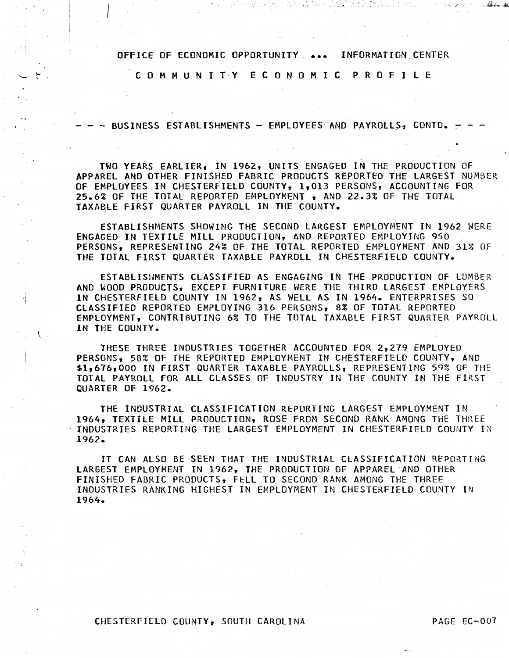C 0 M M U N I T Y E C 0 N 0 M I C P R 0 F I L E

- BUSINESS ESTABLISHMENTS - EMPLOYEES AND PAYROLLS, CONTD.

TWO YEARS EARLIER, IN 1962, UNITS ENGAGED IN THE PRODUCTION OF APPAREL AND OTHER FINISHED FABRIC PRODUCTS REPORTED THE LARGEST NUMBER OF EMPLOYEES IN CHESTERFIELD COUNTY, 1,013 PERSONS, ACCOUNTING FOR 25.6% OF THE TOTAL REPORTED EMPLOYMENT , AND 22.3% OF THE TOTAL TAXABLE FIRST QUARTER PAYROLL IN THE COUNTY.

ESTABLISHMENTS SHOWING THE SECOND LARGEST EMPLOYMENT IN 1962 WERE ENGAGED IN TEXTILE MILL PRODUCTION, AND REPORTED EMPLOYING 950 PERSONS, REPRESENTING 24% OF THE TOTAL REPORTED EMPLOYMENT AND 31% OF THE TOTAL FIRST QUARTER TAXABLE PAYROLL IN CHESTERFIELD COUNTY.

ESTABLISHMENTS CLASSIFIED AS ENGAGING IN THE PRODUCTION OF LUMBER AND WOOD PRODUCTS, EXCEPT FURNITURE WERE THE THIRD LARGEST EMPLOYERS IN CHESTERFIELD COUNTY IN 1962, AS WELL AS IN 1964. ENTERPRISES SO CLASSIFIED REPORTED EMPLOYING 316 PERSONS, 8% OF TOTAL REPORTED EMPLOYMENT, CONTRIBUTING 6% TO THE TOTAL TAXABLE FIRST QUARTER PAYROLL IN THE COUNTY.

I THESE THREE INDUSTRIES TOGETHER ACCOUNTED FOR 2,279 EMPLOYED PERSONS, 58% OF THE REPORTED EMPLOYMENT IN CHESTERFIELD COUNTY, AND \$1,676,000 IN FIRST QUARTER TAXABLE PAYROLLS, REPRESENTING 59% OF THE TOTAL PAYROLL FOR ALL CLASSES OF INDUSTRY IN THE COUNTY IN THE FIRST QUARTER OF 1962.

THE INDUSTRIAL CLASSIFICATION REPORTING LARGEST EMPLOYMENT IN 1964, TEXTILE MILL PRODUCTION, ROSE FROM SECOND RANK AMONG THE THREE INDUSTRIES REPORTING THE LARGEST EMPLOYMENT IN CHESTERFIELD COUNTY IN 1962.

IT CAN ALSO BE SEEN THAT THE INDUSTRIAL CLASSIFICATION REPORTING LARGEST EMPLOYMENT IN 1962, THE PRODUCTION OF APPAREL AND OTHER FINISHED FABRIC PRODUCTS, FELL TO SECOND RANK AMONG THE THREE INDUSTRIES RANKING HIGHEST IN EMPLOYMENT IN CHESTERFIELD COUNTY IN 1964.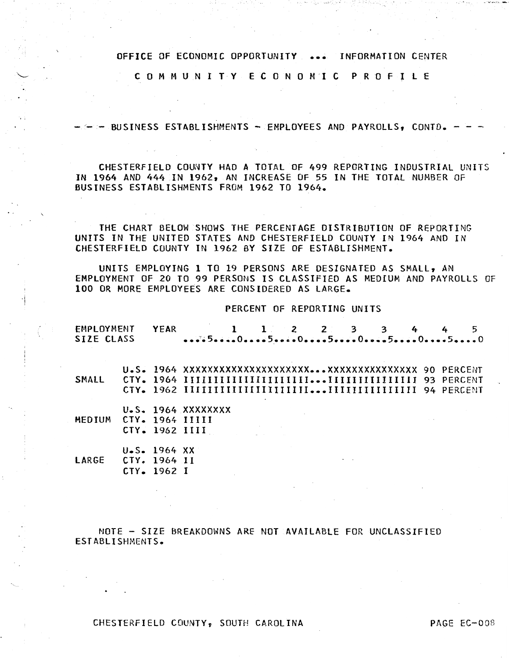C 0 M M U N I T Y E C 0 N 0 M I C P R 0 F I l E

-- BUSINESS ESTABLISHMENTS - EMPLOYEES AND PAYROLLS, CONTD.

CHESTERFIELD COUNTY HAD A TOTAL OF 499 REPORTING INDUSTRIAL UNITS IN 1964 AND 444 IN 1962, AN INCREASE OF 55 IN THE TOTAl NUMBER OF BUSINESS ESTABLISHMENTS FROM 1962 TO 1964.

THE CHART BELOW SHOWS THE PERCENTAGE DISTRIBUTION OF REPORTING UNITS IN THE UNITED STATES AND CHESTERFIELD COUNTY IN 1964 AND IN CHESTERFIELD COUNTY IN 1962 BY SIZE OF ESTABLISHMENT.

UNITS EMPLOYING 1 TO 19 PERSONS ARE DESIGNATED AS SMALL, AN EMPLOYMENT OF 20 TO 99 PERSONS IS CLASSIFIED AS MEDIUM AND PAYROLLS OF 100 OR MORE EMPLOYEES ARE CONSIDERED AS LARGE.

PERCENT OF REPORTING UNITS

| EMPLOYMENT YEAR |  | 1 1 2 2 3 3 4 4 5 |  |  |  |  |
|-----------------|--|-------------------|--|--|--|--|
| SIZE CLASS      |  |                   |  |  |  |  |

U.S. 1964 XXXXXXXXXXXXXXXXXXXXX ••• XXXXXXXXXXXXXXX 90 PERCENT SMALL CTY. 1964 IIIIIIIIIIIIIIIIIIIII ••• IIIIIIIIIIIIIII 93 PERCENT CTY. 1962 IIIIIIIIIIIIIIIIIIIII ••• IIIIIIIIIIIIIII 94 PERCENT

u.s. 1964 xxxxxxxx MEDIUM CTY. 1964 IIIII CTY. 1962 I II I

U.S. 1964 XX LARGE CTY. 1964 II CTY. 1962 I

NOTE - SIZE BREAKDOWNS ARE NOT AVAILABLE FOR UNCLASSIFIED ESTABLISHMENTS.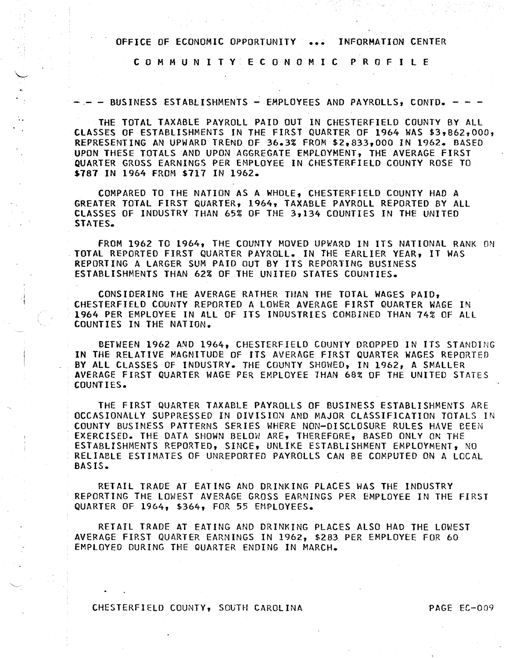C 0 M M U N I T Y E C 0 N 0 M I C P R 0 F I L E

- - BUSINESS ESTABLISHMENTS - EMPLOYEES AND PAYROLLS, CONTD. - -

THE TOTAL TAXABLE PAYROLL PAID OUT IN CHESTERFIELD COUNTY BY ALL CLASSES OF ESTABLISHMENTS IN THE FIRST QUARTER OF 1964 WAS \$3,862,000, REPRESENTING AN UPWARD TREND OF 36.3% FROM \$2,833,000 IN 1962. BASED UPON THESE TOTALS *AND* UPON AGGREGATE EMPLOYMENT, THE AVERAGE FIRST QUARTER GROSS EARNINGS PER EMPLOYEE IN CHESTERFIELD COUNTY ROSE TO \$787 IN 1964 FROM \$717 IN 1962.

COMPARED TO THE NATION AS A WHOLE, CHESTERFIELD COUNTY HAD A GREATER TOTAL FIRST QUARTER, 1964, TAXABLE PAYROLL REPORTED BY ALL CLASSES OF INDUSTRY THAN 65% OF THE 3,134 COUNTIES IN THE UNITED STATES.

FROM 1962 TO 1964, THE COUNTY MOVED UPWARD IN ITS NATIONAL RANK ON TOTAL REPORTED FIRST QUARTER PAYROLL. IN THE EARLIER YEAR, IT WAS REPORTING A LARGER SUM PAID OUT BY ITS REPORTING BUSINESS ESTABLISHMENTS THAN 62% OF THE UNITED STATES COUNTIES.

CONSIDERING THE AVERAGE RATHER THAN THE TOTAL WAGES PAlO, CHESTERFIELD COUNTY REPORTED A LOWER AVERAGE FIRST QUARTER WAGE IN 1964 PER EMPLOYEE IN ALL OF ITS INDUSTRIES COMBINED THAN 74% Of All COUNTIES IN THE NATION.

BETWEEN 1962 AND 1964, CHESTERFIELD COUNTY DROPPED IN ITS STANDING IN THE RELATIVE MAGNITUDE OF ITS AVERAGE FIRST QUARTER WAGES REPORTED BY ALL CLASSES OF INDUSTRY. THE COUNTY SHOWED, IN 1962, A SMALLER AVERAGE FIRST QUARTER WAGE PER EMPLOYEE THAN 68% OF THE UNITED STATES COUNTIES.

THE FIRST QUARTER TAXABLE PAYROLLS OF BUSINESS ESTABLISHMENTS ARE OCCASIONALLY SUPPRESSED IN DIVISION AND MAJOR CLASSIFICATION TOTALS IN COUNTY BUSINESS PATTERNS SERIES WHERE NON-DISCLOSURE RULES HAVE £EEN EXERCISED. THE DATA SHOWN BELOW AREy THEREFORE, BASED ONLY ON THE ESTABLISHMENTS REPORTED, SINCE, UNLIKE ESTABLISHMENT EMPLOYMENT, NO RELIABLE ESTIMATES OF UNREPORTED PAYROLLS CAN BE COMPUTED ON A LOCAL BASIS.

RETAIL TRADE AT EATING AND DRINKING PLACES WAS THE INDUSTRY REPORTING THE LOWEST AVERAGE GROSS EARNINGS PER EMPLOYEE IN THE FIRST QUARTER OF 1964, \$364, FOR 55 EMPLOYEES.

RETAIL TRADE AT EATING AND DRINKING PLACES ALSO HAD THE LOWEST AVERAGE FIRST QUARTER EARNINGS IN 1962, \$283 PER EMPLOYEE FOR 60 EMPLOYED DURING THE QUARTER ENDING IN MARCH.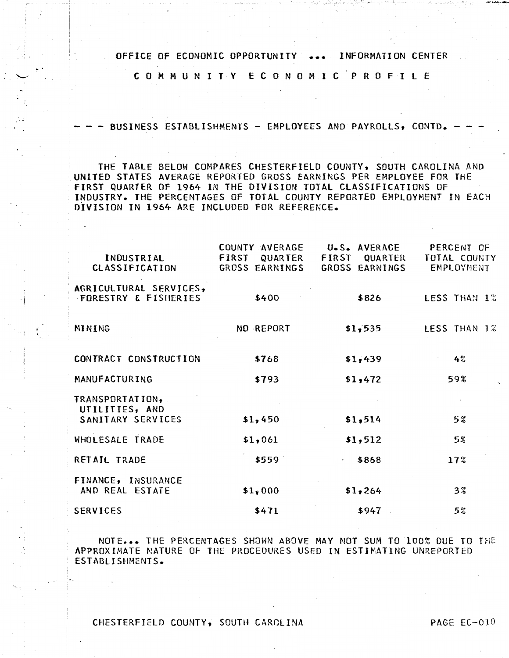C 0 M M U N I T Y E C 0 N 0 M I C P R 0 F I L E

<sup>~</sup>.

·j

 $-$  BUSINESS ESTABLISHMENTS  $-$  EMPLOYEES AND PAYROLLS, CONTD.

THE TABLE BELOW COMPARES CHESTERFIELD COUNTY, SOUTH CAROLINA AND UNITED STATES AVERAGE REPORTED GROSS EARNINGS PER EMPLOYEE FOR THE FIRST QUARTER OF 1964 IN THE DIVISION TOTAL CLASSIFICATIONS OF INDUSTRY. THE PERCENTAGES OF TOTAL COUNTY REPORTED EMPLOYMENT IN EACH DIVISION IN 1964 ARE INCLUDED FOR REFERENCE.

| INDUSTRIAL<br><b>CLASSIFICATION</b>                       | COUNTY AVERAGE<br>FIRST<br>QUARTER<br>GROSS EARNINGS | U.S. AVERAGE<br>FIRST<br>QUARTER<br>GROSS EARNINGS | PERCENT OF<br>TOTAL COUNTY<br>EMPLOYMENT |
|-----------------------------------------------------------|------------------------------------------------------|----------------------------------------------------|------------------------------------------|
| AGRICULTURAL SERVICES,<br><b>FORESTRY &amp; FISHERIES</b> | \$400                                                | \$826                                              | LESS THAN 1%                             |
| MINING                                                    | NO REPORT                                            | \$1,535                                            | LESS THAN 1%                             |
| CONTRACT CONSTRUCTION                                     | \$768                                                | \$1,439                                            | 4%                                       |
| MANUFACTURING                                             | \$793                                                | \$1,472                                            | 59%                                      |
| TRANSPORTATION,<br>UTILITIES, AND<br>SANITARY SERVICES    | \$1,450                                              | \$1,514                                            | 5%                                       |
| WHOLESALE TRADE                                           | \$1,061                                              | \$1,512                                            | 5%                                       |
| RETAIL TRADE                                              | \$559                                                | \$868<br>$\sim$                                    | 17 <sup>o</sup>                          |
| FINANCE, INSURANCE<br>AND REAL ESTATE                     | \$1,000                                              | \$1,264                                            | $3\%$                                    |
| <b>SERVICES</b>                                           | \$471                                                | \$947                                              | 5%                                       |

NOTE... THE PERCENTAGES SHOWN ABOVE MAY NOT SUM TO 100% DUE TO THE APPROXIMATE NATURE OF THE PROCEDURES USED IN ESTIMATING UNREPORTED ESTABLISHMENTS.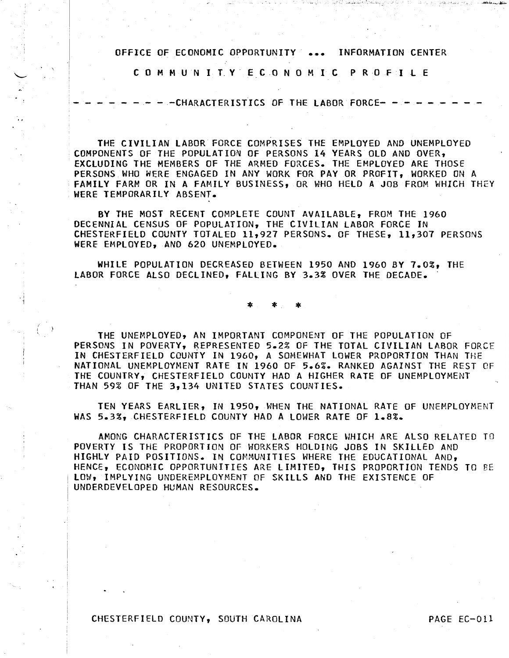C 0 M M U N I T. Y . E C 0 N 0 M I C P R 0 F I l E

- - CHARACTERISTICS OF THE LABOR FORCE- --

 $\sim$  -  $\sim$ 

THE CIVILIAN LABOR FORCE COMPRISES THE EMPLOYED AND UNEMPLOYED COMPONENTS OF THE POPULATION OF PERSONS 14 YEARS OLD AND OVER, EXCLUDING THE MEMBERS OF THE ARMED FORCES. THE EMPLOYED ARE THOSE PERSONS WHO WERE ENGAGED IN ANY WORK FOR PAY OR PROFIT, WORKED ON A FAMILY FARM OR IN A FAMILY BUSINESS, OR WHO HELD A JOB FROM WHICH THEY WERE TEMPORARILY ABSENT.

BY THE MOST RECENT COMPLETE COUNT AVAILABLE, FROM THE 1960 DECENNIAL CENSUS OF POPULATION, THE CIVILIAN LABOR FORCE IN CHESTERFIELD COUNTY TOTALED 11,927 PERSONS. Of THESE, 11,307 PERSONS WERE EMPLOYED, AND 620 UNEMPLOYED.

WHILE POPULATION DECREASED BETWEEN 1950 AND 1960 BY 7.0%, THE LABOR FORCE ALSO DECLINED, FALLING BY 3.3% OVER THE DECADE.

\* \* \*

THE UNEMPLOYED, AN IMPORTANT COMPONENT OF THE POPULATION OF PERSONS IN POVERTY, REPRESENTED 5.2% OF THE TOTAL CIVILIAN LABOR FORCE IN CHESTERFIELD COUNTY IN 1960, A SOMEWHAT LOWER PROPORTION THAN THE NATIONAL UNEMPLOYMENT RATE IN 1960 OF 5.6%. RANKED AGAINST THE REST OF THE COUNTRY, CHESTERFIELD COUNTY HAD A HIGHER RATE Of UNEMPLOYMENT THAN 59% OF THE 3,134 UNITED STATES COUNTIES.

TEN YEARS EARLIER, IN 1950, WHEN THE NATIONAL RATE OF UNEMPLOYMENT WAS 5.3%, CHESTERFIELD COUNTY HAD A LOWER RATE OF 1.8%.

AMONG CHARACTERISTICS OF THE LABOR FORCE UHICH ARE ALSO RELATED TO POVERTY IS THE PROPORTION OF WORKERS HOLDING JOBS IN SKILLED AND HIGHLY PAID POSITIONS. IN COMMUNITIES WHERE THE EDUCATIONAL AND, HENCE, ECONOMIC OPPORTUNITIES ARE LIMITED, THIS PROPORTION TENDS TO BE lOW, IMPLYING UNDEREMPLOYMENT OF SKILLS AND THE EXISTENCE OF UNDERDEVELOPED HUMAN RESOURCES.

#### CHESTERFIELD COUNTY, SOUTH CAROLINA PAGE EC-011

. I 1

> / '·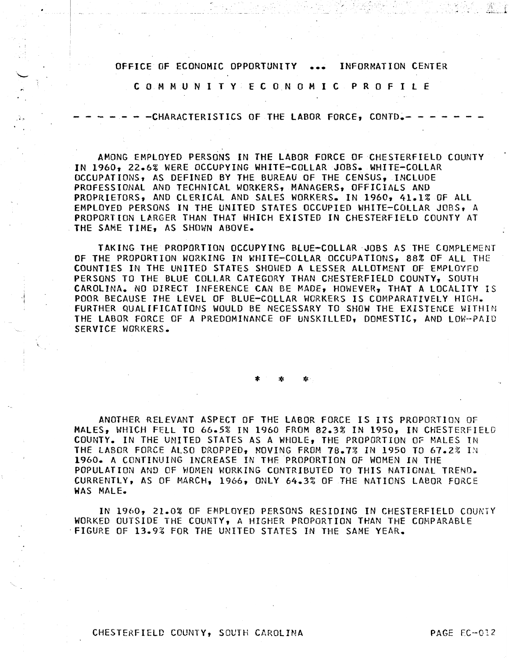C 0 M M U N I T Y E C 0 N 0 M I C P R 0 F I L E

-CHARACTERISTICS OF THE LABOR FORCE, CONTD.-

AMONG EMPLOYED PERSONS IN THE LABOR FORCE OF CHESTERFIELD COUNTY IN 1960, 22.6% WERE OCCUPYING WHITE-COLLAR JOBS. WHITE-COLLAR OCCUPATIONS, AS DEFINED BY THE BUREAU OF THE CENSUS, INCLUDE PROFESSIONAL AND TECHNICAL WORKERS, MANAGERS, OFFICIALS AND PROPRIETORS, AND CLERICAL AND SALES WORKERS. IN 1960, 41.1% OF ALL EMPLOYED PERSONS IN THE UNITED STATES OCCUPIED WHITE-COLLAR JOBS, A PROPORTION LARGER THAN THAT WHICH EXISTED IN CHESTERFIELD COUNTY AT THE SAME TIME, AS SHOWN ABOVE.

TAKING THE PROPORTION OCCUPYING BLUE-COLLAR JOBS AS THE COMPLEMENT OF THE PROPORTION WORKING IN WHITE-COLLAR OCCUPATIONS, 88% OF ALL THE COUNTIES IN THE UNITED STATES SHOWED A LESSER ALLOTMENT OF EMPLOYED PERSONS TO THE BLUE COLLAR CATEGORY THAN CHESTERFIELD COUNTY, SOUTH CAROLINA. NO DIRECT INFERENCE CAN BE MAOE, HOWEVER, THAT A LOCALITY IS POOR BECAUSE THE LEVEL OF BLUE-COLLAR WORKERS IS COMPARATIVELY HIGH. FURTHER QUALIFICATIONS WOULD BE NECESSARY TO SHOW THE EXISTENCE WITHIN THE LABOR FORCE OF A PREDOMINANCE OF UNSKILLED, DOMESTIC, AND LOW-PAID SERVICE WORKERS.

\* \* \*

ANOTHER RELEVANT ASPECT OF THE LABOR FORCE IS ITS PROPORTION OF MALES, WHICH FELL TO 66.5% IN 1960 FROM 82.3% IN 1950, IN CHESTERFIELD COUNTY. IN THE UNITED STATES AS A WHOLE, THE PROPORTION Of MALES IN THE LABOR FORCE ALSO DROPPED. MOVING FROM 78.7% IN 1950 TO 67.2% IN 1960. A CONTINUING INCREASE IN THE PROPORTION OF WOMEN IN THE POPULATION AND OF WOMEN WORKING CONTRIBUTED TO THIS NATIONAL TREND. CURRENTLY, AS OF MARCH, 1966, ONLY 64.3% OF THE NATIONS LABOR FORCE WAS MALE.

IN 1960, 21.0% OF EMPLOYED PERSONS RESIDING IN CHESTERFIELD COUNTY WORKED OUTSIDE THE COUNTY, A HIGHER PROPORTION THAN THE COMPARABLE ·FIGURE OF 13.9% FOR THE UNITED STATES IN THE SAME YEAR.

.i I

· ..

i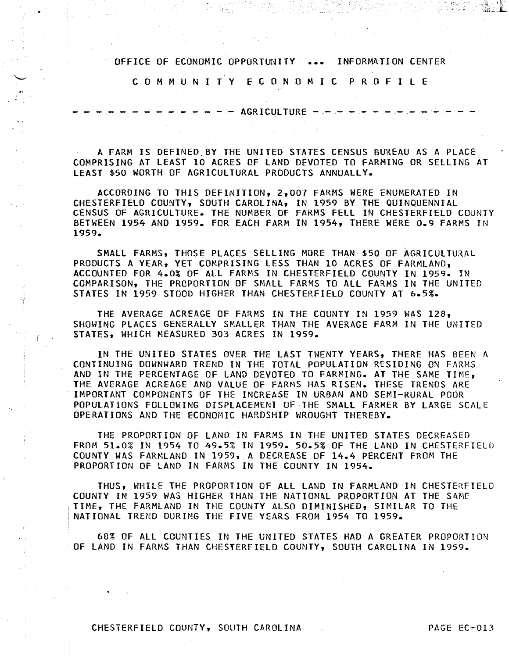C 0 M M U N I T Y E C 0 N 0 M I C P R 0 F I L E

 $- - -$  AGRICULTURE  $- - -$ 

A FARM IS DEFINED.BY THE UNITED STATES CENSUS BUREAU AS A PLACE COMPRISING AT LEAST 10 ACRES OF LAND DEVOTED TO FARMING OR SELLING AT LEAST \$50 WORTH OF AGRICULTURAL PRODUCTS ANNUALLY.

ACCORDING TO THIS DEFINITION, 2,007 FARMS WERE ENUMERATED IN CHESTERFIELD COUNTY, SOUTH CAROLINA, IN 1959 BY THE QUINQUENNIAL CENSUS OF AGRICULTURE. THE NUMBER OF FARMS FELL IN CHESTERFIELD COUNTY BETWEEN 1954 AND 1959. FOR EACH FARM IN 1954, THERE WERE 0.9 FARMS IN 1959.

SMALL FARMS, THOSE PLACES SELLING MORE THAN \$50 OF AGRICULTURAL PRODUCTS A YEAR, YET COMPRISING LESS THAN 10 ACRES OF FARMLAND, ACCOUNTED FOR 4.0% OF All FARMS IN CHESTERFIELD COUNTY IN 1959. IN COMPARISON, THE PROPORTION OF SMALL FARMS TO ALL FARMS IN THE UNITED STATES IN 1959 STOOD HIGHER THAN CHESTERFIELD COUNTY AT 6.5%.

THE AVERAGE ACREAGE OF FARMS IN THE COUNTY IN 1959 WAS 128, SHOWING PLACES GENERALLY SMALLER THAN THE AVERAGE FARM IN THE UNITED STATES, WHICH MEASURED 303 ACRES IN 1959.

IN THE UNITED STATES OVER THE LAST TWENTY YEARS, THERE HAS BEEN A CONTINUING DOWNWARD TREND IN THE TOTAL POPULATION RESIDING ON FARMS AND IN THE PERCENTAGE OF LAND DEVOTED TO FARMING. AT THE SAME TIME, THE AVERAGE ACREAGE AND VALUE OF FARMS HAS RISEN. THESE TRENDS ARE IMPORTANT COMPONENTS OF THE INCREASE IN URBAN AND SEMI-RURAL POOR POPULATIONS FOLLOWING DISPLACEMENT OF THE SMALL FARMER BY LARGE SCALE OPERATIONS AND THE ECONOMIC HARDSHIP WROUGHT THEREBY.

THE PROPORTION OF LAND IN FARMS IN THE UNITED STATES DECREASED FROM 51.0% IN 1954 TO 49.5% IN 1959. 50.5% OF THE LAND IN CHESTERFIELD COUNTY WAS FARMLAND IN 1959, A DECREASE OF 14.4 PERCENT FROM THE PROPORTION OF LAND IN FARMS IN THE COUNTY IN 1954.

THUS, WHILE THE PROPORTION OF All LAND IN FARMLAND IN CHESTERFIELD COUNTY IN 1959 WAS HIGHER THAN THE NATIONAL PROPORTION AT THE SAME TIME, THE FARMLAND IN THE COUNTY ALSO DIMINISHED, SIMILAR TO THE NATIONAL TREND DURING THE FIVE YEARS FROM 1954 TO 1959.

68% OF All COUNTIES IN THE UNITED STATES HAD A GREATER PROPORTION OF LAND IN FARMS THAN CHESTERFIELD COUNTY, SOUTH CAROLINA IN 1959.

CHESTERFIELD COUNTY, SOUTH CAROLINA PAGE EC-013

·I

(

-311 - L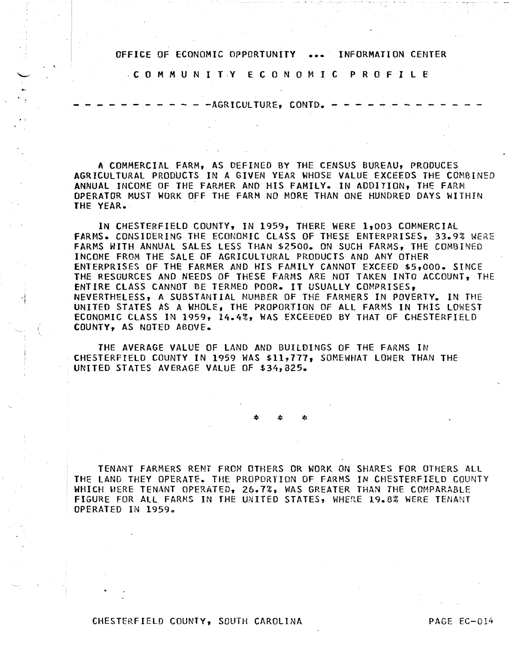. C 0 M M UN I T.Y E C 0 N 0 M I C P R 0 FILE

------------AGRICULTURE, CONTD. -------------

A COMMERCIAL FARM, AS DEFINED BY THE CENSUS BUREAU, PRODUCES AGRICULTURAL PRODUCTS IN A GIVEN YEAR WHOSE VALUE EXCEEDS THE COMBINED ANNUAL INCOME OF THE FARMER AND HIS FAMILY. IN ADDITION, THE FARM OPERATOR MUST WORK OFF THE FARM NO MORE THAN ONE HUNDRED DAYS WITHIN THE YEAR.

IN CHESTERFIELD COUNTY, IN 1959, THERE WERE 1,003 COMMERCIAL FARMS. CONSIDERING THE ECONOMIC CLASS OF THESE ENTERPRISES, 33.9% WERE FARMS WITH ANNUAL SALES LESS THAN \$2500. ON SUCH FARMS, THE COMBINED INCOME FROM THE SALE OF AGRICULTURAL PRODUCTS AND ANY OTHER ENTERPRISES OF THE FARMER AND HIS FAMILY CANNOT EXCEED \$5,000. SINCE THE RESOURCES AND NEEDS OF THESE FARMS ARE NOT TAKEN INTO ACCOUNT, THE ENTIRE CLASS CANNOT BE TERMED POOR. IT USUALLY COMPRISES, NEVERTHELESS, A SUBSTANTIAL NUMBER OF THE FARMERS IN POVERTY. IN THE UNITED STATES AS A WHOLE, THE PROPORTION OF All FARMS IN THIS LOWEST ECONOMIC CLASS IN 1959, 14.4%, WAS EXCEEDED BY THAT OF CHESTERFIELD COUNTY, AS NOTED ABOVE.

THE AVERAGE VALUE OF LAND AND BUILDINGS OF THE FARMS IN CHESTERFIELD COUNTY IN 1959 WAS \$11,717, SOMEWHAT LOWER THAN THE UNITED STATES AVERAGE VALUE OF \$34,825.

\* \* \*

TENANT FARMERS RENT FROM OTHERS OR WORK ON SHARES FOR OTHERS ALL , THE LAND THEY OPERATE. THE PROPORTION OF FARMS IN CHESTERFIELD COUNTY WHICH WERE TENANT OPERATED, 26.7%, WAS GREATER THAN THE COMPARABLE FIGURE FOR All FARMS IN THE UNITED STATES, WHERE 19.8% WERE TENANT OPERATED IN 1959.

CHESTERFIELD COUNTY, SOUTH CAROLINA PAGE EC-014

 $\mathcal{A}$  .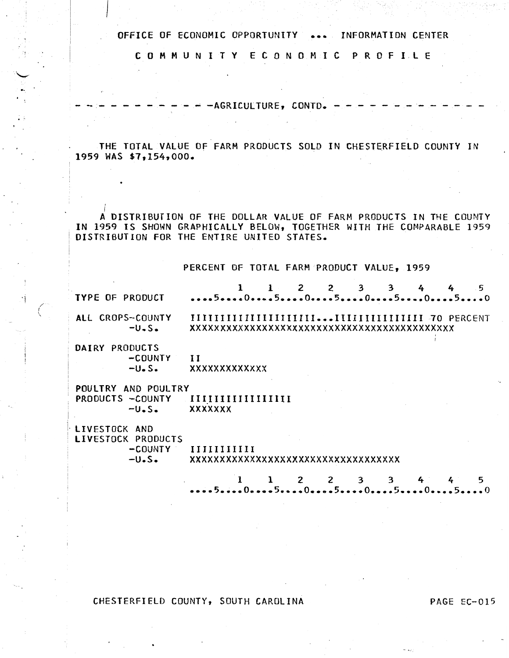C 0 M M U N I T Y E C 0 N 0 M I C P R 0 F I L E

 $- -$  AGRICULTURE, CONTD.  $-$ 

THE TOTAL VALUE OF FARM PRODUCTS SOLD IN CHESTERFIELD COUNTY IN 1959 WAS \$7,154,000.

' I A DISTRIBUTION OF THE DOLLAR VALUE OF FARM PRODUCTS IN THE COUNTY IN 1959 IS SHOWN GRAPHICALLY BELOW, TOGETHER WITH THE COMPARABLE 1959 DISTRIBUTION FOR THE ENTIRE UNITED STATES.

PERCENT OF TOTAL FARM PRODUCT VALUE, 1959

TYPE OF PRODUCT All CROPS-COUNTY  $-U.S.$ 1 1 2 2 3 3 4 4 5<br>•••••5•••••0•••••5•••••5•••••0•••••5•••••0••••5•••••0• IIIIIIIIIIIIIIIIIIIII ••• IIIIIIIIIIIIIII 70 PERCENT xxxxxxxxxxxxxxxxxxxxxxxxxxxxxxxxxxxxxxxxxxxx

DAIRY PRODUCTS -COUNTY  $-U<sub>o</sub> S<sub>o</sub>$ II xxxxxxxxxxxxx

 $\mathcal{C}$ 

I

, POULTRY AND POULTRY PRODUCTS -COUNTY  $-U.S.$ IIIIIIIIIIIIIIIII XX XX XXX

LIVESTOCK AND LIVESTOCK PRODUCTS -COUNTY  $-U-S$ . IIIIIIIIIII xxxxxxxxxxxxxxxxxxxxxxxxxxxxxxxxxxx

> 1 1 2 2 3 3 4 4 5 **•••• 5 •••• o •••• s •••• o •• e.5 •••• o •••• s •••• o •••• s •••• o**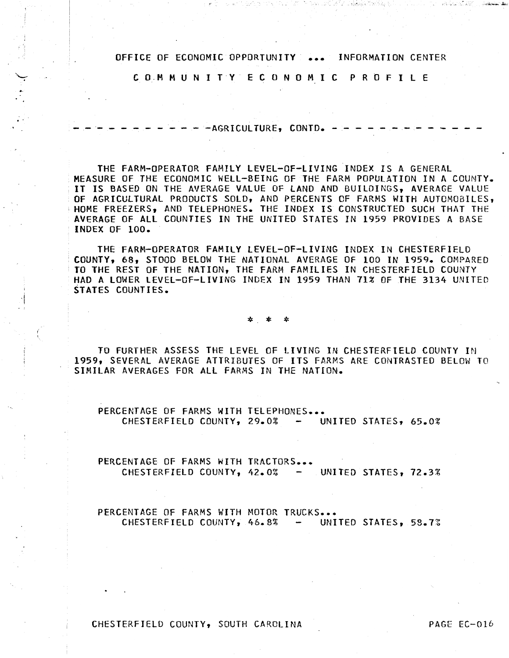C O.M M U N I T Y E C 0 N 0 M I C P R 0 F I l E

 $- AGRICULTURE$ ,  $CONTD$ .  $- -$ 

THE FARM-OPERATOR FAMILY LEVEL-OF-LIVING INDEX IS A GENERAL MEASURE OF THE ECONOMIC WELL-BEING OF THE FARM POPULATION IN A COUNTY. IT IS BASED ON THE AVERAGE VALUE Of LAND AND BUILDINGS, AVERAGE VALUE OF AGRICULTURAL PRODUCTS SOLO, AND PERCENTS OF FARMS WITH AUTOMOBILES, HOME FREEZERS, AND TELEPHONES. THE INDEX IS CONSTRUCTED SUCH THAT THE AVERAGE Of All COUNTIES IN THE UNITED STATES IN 1959 PROVIDES A BASE INDEX OF 100.

THE FARM-OPERATOR FAMILY LEVEL-OF-LIVING INDEX IN CHESTERFIELD<br>COUNTY, 68, STOOD BELOW THE NATIONAL AVERAGE OF 100 IN 1959. COMPARED<br>TO THE REST OF THE NATION, THE FARM FAMILIES IN CHESTERFIELD COUNTY HAD A LOWER LEVEL-OF-LIVING INDEX IN 1959 THAN 71% Of THE 3134 UNITED STATES COUNTIES.

\* \* \*

TO FURTHER ASSESS THE LEVEL OF LIVING IN CHESTERFIELD COUNTY IN 1959, SEVERAL AVERAGE ATTRIBUTES OF ITS FARMS ARE CONTRASTED BELOW TO SIMILAR AVERAGES FOR ALL FARMS IN THE NATION.

PERCENTAGE OF FARMS WITH TELEPHONES... CHESTERFIELD COUNTY, 29.0% - UNITED STATES, 65.0%

PERCENTAGE OF FARMS WITH TRACTORS... CHESTERFIELD COUNTY, 42.0% - UNITED STATES, 72.3%

PERCENTAGE OF FARMS WITH MOTOR TRUCKS... CHESTERFIELD COUNTY, 46.8% - UNITED STATES, 58.7%

CHESTERFIELD COUNTY, SOUTH CAROLINA PAGE EC-016

·I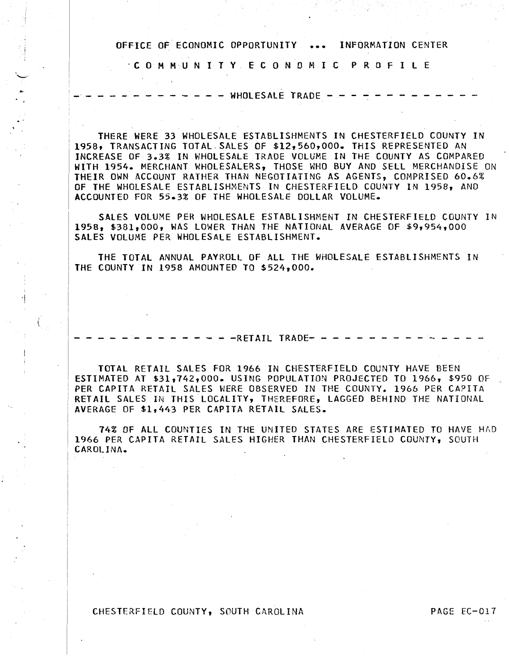· C 0 M M U N I T Y E C 0 N 0 M I C P R 0 F I L E

 $-$  - WHOLESALE TRADE -  $-$ 

THERE WERE 33 WHOLESALE ESTABLISHMENTS IN CHESTERFIELD COUNTY IN 1958, TRANSACTING TOTAL.SALES OF \$12,560,000. THIS REPRESENTED AN INCREASE OF 3.3% IN WHOLESALE TRADE VOLUME IN THE COUNTY AS COMPARED WITH 1954. MERCHANT WHOLESALERS, THOSE WHO BUY AND SELL MERCHANDISE ON THEIR OWN ACCOUNT RATHER THAN NEGOTIATING AS AGENTS, COMPRISED 60.6% OF THE WHOLESALE ESTABLISHMENTS IN CHESTERFIELD COUNTY IN 1958, AND ACCOUNTED FOR 55.3% OF THE WHOLESALE DOLLAR VOLUME.

SALES VOLUME PER WHOLESALE ESTABLISHMENT IN CHESTERFIELD COUNTY IN 1958, \$381,000, WAS LOWER THAN THE NATIONAL AVERAGE OF \$9,954,000 SALES VOLUME PER WHOLESALE ESTABLISHMENT.

THE TOTAL ANNUAL PAYROLL OF All THE WHOLESALE ESTABLISHMENTS IN THE COUNTY IN 1958 AMOUNTED TO \$524,000.

 $- RETAIL$  TRADE-  $-$ 

TOTAL RETAIL SALES FOR 1966 IN CHESTERFIELD COUNTY HAVE BEEN ESTIMATED AT \$31,742,000. USING POPULATION PROJECTED TO 1966, \$950 OF<br>PER CAPITA RETAIL SALES WERE OBSERVED IN THE COUNTY. 1966 PER CAPITA RETAIL SALES IN THIS LOCALITY, THEREFORE, LAGGED BEHIND THE NATIONAL AVERAGE OF \$1,443 PER CAPITA RETAIL SALES.

74% OF ALL COUNTIES IN THE UNITED STATES ARE ESTIMATED TO HAVE HAD 1966 PER CAPITA RETAIL SALES HIGHER THAN CHESTERFIELD COUNTY, SOUTH CAROLINA.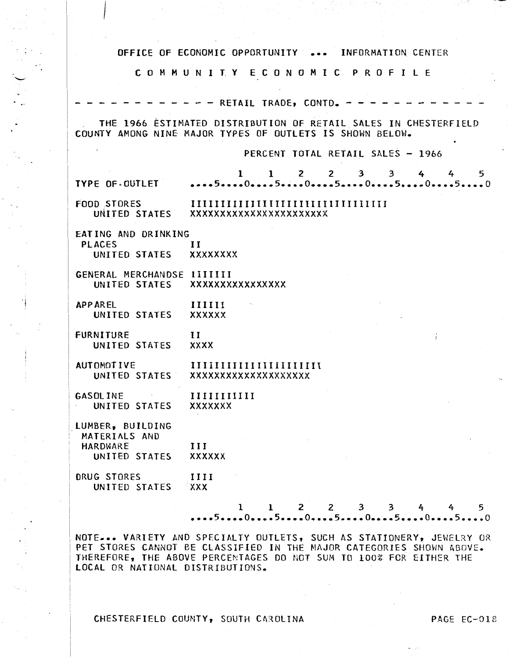|                                                         | OFFICE OF ECONOMIC OPPORTUNITY  INFORMATION CENTER                                                    |
|---------------------------------------------------------|-------------------------------------------------------------------------------------------------------|
|                                                         | COMMUNITY ECONOMIC PROFILE                                                                            |
|                                                         | - - RETAIL TRADE, CONTD. -                                                                            |
|                                                         | THE 1966 ESTIMATED DISTRIBUTION OF RETAIL SALES IN CHESTERFIELD                                       |
|                                                         | COUNTY AMONG NINE MAJOR TYPES OF OUTLETS IS SHOWN BELOW.                                              |
|                                                         | PERCENT TOTAL RETAIL SALES - 1966                                                                     |
|                                                         | $1 \quad 1 \quad 2 \quad 2 \quad 3 \quad 3 \quad 4$<br>5.<br>4<br>TYPE OF OUTLET  5 0 5 0 5 0 5 0 5 0 |
|                                                         | FOOD STORES IIIIIIIIIIIIIIIIIIIIIIIIIIIIIIIIII<br>UNITED STATES XXXXXXXXXXXXXXXXXXXXXXX               |
| EATING AND DRINKING<br>PLACES<br>UNITED STATES XXXXXXXX | $\bf{I}$                                                                                              |
| GENERAL MERCHANDSE IIIIIII                              | UNITED STATES XXXXXXXXXXXXXXX                                                                         |
| APPAREL<br>UNITED STATES XXXXXX                         | IIIIII                                                                                                |
| <b>FURNITURE</b><br>UNITED STATES XXXX                  | 11                                                                                                    |
|                                                         | AUTOMOTIVE IIIIIIIIIIIIIIIIIIIIIIII<br>UNITED STATES XXXXXXXXXXXXXXXXXXX                              |
| GASOLINE IIIIIIIIII<br>UNITED STATES XXXXXXX            |                                                                                                       |
| LUMBER, BUILDING<br>MATERIALS AND<br>HARDWARE           | the control of the control of the<br>$\mathbf{III}$                                                   |
| UNITED STATES                                           | <b>XXXXXX</b>                                                                                         |
| <b>DRUG STORES</b><br>UNITED STATES XXX                 | IIII                                                                                                  |
|                                                         | $1 \t1 \t2 \t2 \t3 \t3 \t4$<br>5.<br>4                                                                |

NOTE... VARIETY AND SPECIALTY OUTLETS, SUCH AS STATIONERY, JEWELRY OR PET STORES CANNOT BE CLASSIFIED IN THE MAJOR CATEGORIES SHOWN ABOVE. THEREFORE, THE ABOVE PERCENTAGES DO NOT SUM TO 100% FOR EITHER THE lOCAl OR NATIONAL DISTRIBUTIONS.

CHESTERFIELD COUNTY, SOUTH CAROLINA PAGE EC-018

 $\mathbb{R}^+$ 

•i 1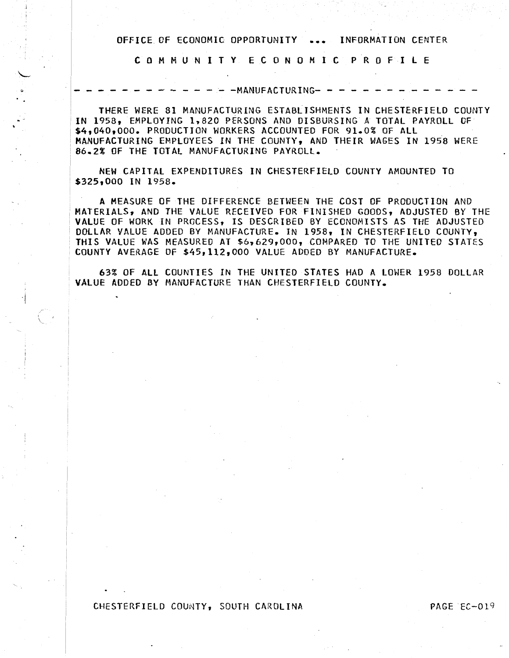C 0 M M U N 1 T Y E C 0 N 0 M I C P R 0 F I L E

-MANUFACTURING- -

THERE WERE 81 MANUFACTURING ESTABLISHMENTS IN CHESTERFIELD COUNTY IN 1958, EMPLOYING 1,820 PERSONS AND DISBURSING A TOTAL PAYROLL OF<br>\$4,040,000. PRODUCTION WORKERS ACCOUNTED FOR 91.0% OF ALL MANUFACTURING EMPLOYEES IN THE COUNTY, AND THEIR WAGES IN 1958 WERE 86.2% OF THE TOTAL MANUFACTURING PAYROLL.

NEW CAPITAL EXPENDITURES IN CHESTERFIELD COUNTY AMOUNTED TO \$325,000 IN 1958.

A MEASURE OF THE DIFFERENCE BETWEEN THE COST OF PRODUCTION AND ; MATERIALS, AND THE VALUE RECEIVED FOR FINISHED GOODS, ADJUSTED BY THE VALUE OF WORK IN PROCESS, IS DESCRIBED BY ECONOMISTS AS THE ADJUSTED DOLLAR VALUE ADDEO BY MANUFACTURE. IN 1958, IN CHESTERFIELD COUNTY, THIS VALUE WAS MEASURED AT \$6,629,000, COMPARED TO THE UNITED STATES COUNTY AVERAGE OF \$45,112,000 VALUE ADDEO BY MANUFACTURE.

63% OF ALL COUNTIES IN THE UNITED STATES HAD A LOWER 1958 DOLLAR VALUE ADDED BY MANUFACTURE THAN CHESTERFIELD COUNTY.

#### CHESTERFIELD COUNTY, SOUTH CAROLINA PAGE EC-019

·i i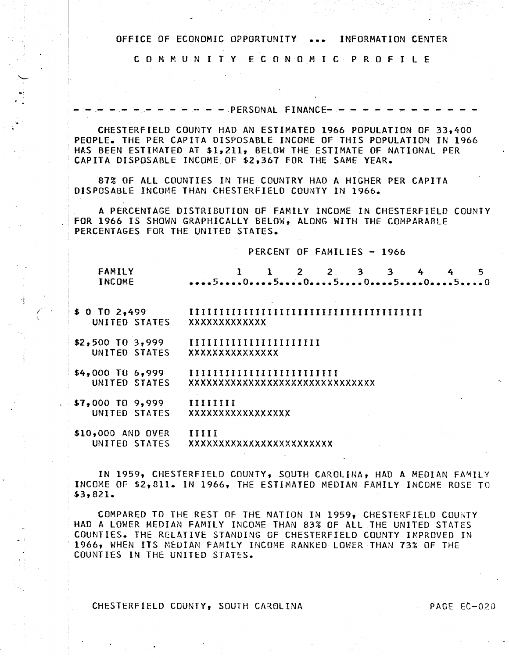C 0 M M U N I T Y E C 0 N 0 M I C P R 0 F I L E

 $-$  PERSONAL FINANCE-  $-$ 

CHESTERFIELD COUNTY HAD AN ESTIMATED 1966 POPULATION OF 33,400 PEOPLE. THE PER CAPITA DISPOSABLE INCOME OF THIS POPULATION IN 1966 HAS BEEN ESTIMATED AT \$1,211, BELOW THE ESTIMATE OF NATIONAL PER CAPITA DISPOSABLE INCOME OF \$2,367 FOR THE SAME YEAR.

87% OF ALL COUNTIES IN THE COUNTRY HAD A HIGHER PER CAPITA DISPOSABLE INCOME THAN CHESTERFIELD COUNTY IN 1966.

...

I 'l

*(* 

A PERCENTAGE DISTRIBUTION OF FAMILY INCOME IN CHESTERFIELD COUNTY<br>FOR 1966 IS SHOWN GRAPHICALLY BELOW, ALONG WITH THE COMPARABLE PERCENTAGES FOR THE UNITED STATES.

PERCENT OF FAMILIES - 1966

| <b>FAMILY</b><br><b>INCOME</b> | $1$ 2 2 3 3 4<br>5             |
|--------------------------------|--------------------------------|
| $$0$ TO 2,499                  |                                |
| UNITED STATES                  | XXXXXXXXXXXXX                  |
| $$2,500$ TO 3,999              | IIIIIIIIIIIIIIIIIIIIII         |
| UNITED STATES                  | xxxxxxxxxxxxxx                 |
| $$4,000$ TO 6,999              | IIIIIIIIIIIIIIIIIIIIIIIII      |
| UNITED STATES                  | XXXXXXXXXXXXXXXXXXXXXXXXXXXXXX |
| \$7,000 TO 9,999               | $\prod \prod \prod \prod$      |
| UNITED STATES                  | xxxxxxxxxxxxxxxx               |
| \$10,000 AND OVER              | IIIII                          |
| UNITED STATES                  | XXXXXXXXXXXXXXXXXXXXXXX        |

IN 1959, CHESTERFIELD COUNTY, SOUTH CAROLINA, HAD A MEDIAN FAMILY INCOME OF \$2,811. IN 1966, THE ESTIMATED MEDIAN FAMILY INCOME ROSE TO \$3,821.

COMPARED TO THE REST OF THE NATION IN 1959, CHESTERFIELD COUNTY HAD A LOWER MEDIAN FAMILY INCOME THAN 83% OF ALL THE UNITED STATES COUNTIES. THE RELATIVE STANDING OF CHESTERFIELD COUNTY IMPROVED IN 1966, WHEN ITS MEDIAN FAMILY INCOME RANKED LOWER THAN 73% OF THE COUNTIES IN THE UNITED STATES.